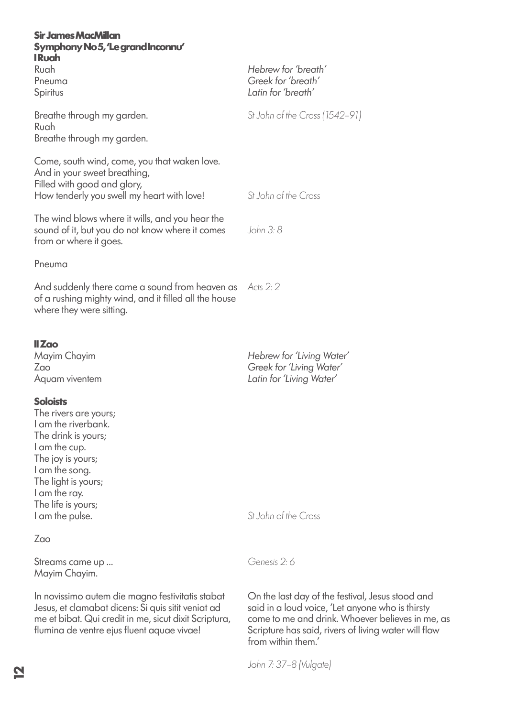| <b>Sir James MacMillan</b><br>Symphony No 5, 'Le grand Inconnu'                                                                                                                                                                 |                                                                                                                                                                                                                                        |
|---------------------------------------------------------------------------------------------------------------------------------------------------------------------------------------------------------------------------------|----------------------------------------------------------------------------------------------------------------------------------------------------------------------------------------------------------------------------------------|
| <b>IRuah</b><br>Ruah<br>Pneuma<br>Spiritus                                                                                                                                                                                      | Hebrew for 'breath'<br>Greek for 'breath'<br>Latin for 'breath'                                                                                                                                                                        |
| Breathe through my garden.<br>Ruah<br>Breathe through my garden.                                                                                                                                                                | St John of the Cross (1542-91)                                                                                                                                                                                                         |
| Come, south wind, come, you that waken love.<br>And in your sweet breathing,<br>Filled with good and glory,<br>How tenderly you swell my heart with love!                                                                       | St. John of the Cross                                                                                                                                                                                                                  |
| The wind blows where it wills, and you hear the<br>sound of it, but you do not know where it comes<br>from or where it goes.                                                                                                    | John 3: 8                                                                                                                                                                                                                              |
| Pneuma                                                                                                                                                                                                                          |                                                                                                                                                                                                                                        |
| And suddenly there came a sound from heaven as<br>of a rushing mighty wind, and it filled all the house<br>where they were sitting.                                                                                             | Acts $2:2$                                                                                                                                                                                                                             |
| II Zao<br>Mayim Chayim<br>Zao<br>Aquam viventem                                                                                                                                                                                 | Hebrew for 'Living Water'<br>Greek for 'Living Water'<br>Latin for 'Living Water'                                                                                                                                                      |
| <b>Soloists</b><br>The rivers are yours;<br>I am the riverbank.<br>The drink is yours;<br>I am the cup.<br>The joy is yours;<br>I am the song.<br>The light is yours;<br>I am the ray.<br>The life is yours;<br>I am the pulse. | St John of the Cross                                                                                                                                                                                                                   |
| Zao                                                                                                                                                                                                                             |                                                                                                                                                                                                                                        |
| Streams came up<br>Mayim Chayim.                                                                                                                                                                                                | Genesis 2:6                                                                                                                                                                                                                            |
| In novissimo autem die magno festivitatis stabat<br>Jesus, et clamabat dicens: Si quis sitit veniat ad<br>me et bibat. Qui credit in me, sicut dixit Scriptura,<br>flumina de ventre ejus fluent aquae vivae!                   | On the last day of the festival, Jesus stood and<br>said in a loud voice, 'Let anyone who is thirsty<br>come to me and drink. Whoever believes in me, as<br>Scripture has said, rivers of living water will flow<br>from within them.' |

*John 7: 37–8 (Vulgate)*